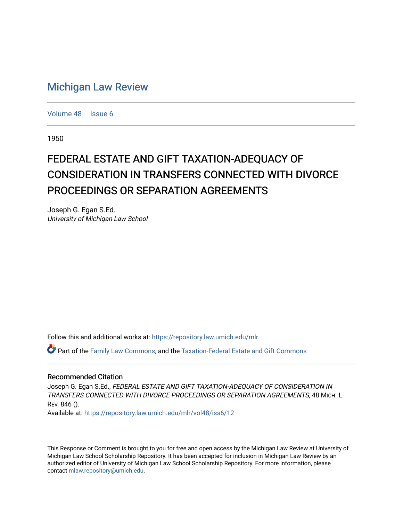# [Michigan Law Review](https://repository.law.umich.edu/mlr)

[Volume 48](https://repository.law.umich.edu/mlr/vol48) | [Issue 6](https://repository.law.umich.edu/mlr/vol48/iss6)

1950

# FEDERAL ESTATE AND GIFT TAXATION-ADEQUACY OF CONSIDERATION IN TRANSFERS CONNECTED WITH DIVORCE PROCEEDINGS OR SEPARATION AGREEMENTS

Joseph G. Egan S.Ed. University of Michigan Law School

Follow this and additional works at: [https://repository.law.umich.edu/mlr](https://repository.law.umich.edu/mlr?utm_source=repository.law.umich.edu%2Fmlr%2Fvol48%2Fiss6%2F12&utm_medium=PDF&utm_campaign=PDFCoverPages) 

Part of the [Family Law Commons,](http://network.bepress.com/hgg/discipline/602?utm_source=repository.law.umich.edu%2Fmlr%2Fvol48%2Fiss6%2F12&utm_medium=PDF&utm_campaign=PDFCoverPages) and the [Taxation-Federal Estate and Gift Commons](http://network.bepress.com/hgg/discipline/880?utm_source=repository.law.umich.edu%2Fmlr%2Fvol48%2Fiss6%2F12&utm_medium=PDF&utm_campaign=PDFCoverPages)

### Recommended Citation

Joseph G. Egan S.Ed., FEDERAL ESTATE AND GIFT TAXATION-ADEQUACY OF CONSIDERATION IN TRANSFERS CONNECTED WITH DIVORCE PROCEEDINGS OR SEPARATION AGREEMENTS, 48 MICH. L. REV. 846 ().

Available at: [https://repository.law.umich.edu/mlr/vol48/iss6/12](https://repository.law.umich.edu/mlr/vol48/iss6/12?utm_source=repository.law.umich.edu%2Fmlr%2Fvol48%2Fiss6%2F12&utm_medium=PDF&utm_campaign=PDFCoverPages) 

This Response or Comment is brought to you for free and open access by the Michigan Law Review at University of Michigan Law School Scholarship Repository. It has been accepted for inclusion in Michigan Law Review by an authorized editor of University of Michigan Law School Scholarship Repository. For more information, please contact [mlaw.repository@umich.edu](mailto:mlaw.repository@umich.edu).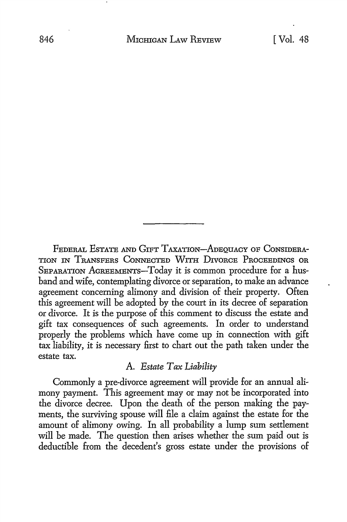FEDERAL EsTATE AND GIFT TAXATION-ADEQUACY OF CoNSIDERA-TION IN TRANSFERS CONNECTED WITH DIVORCE PROCEEDINGS OR SEPARATION AGREEMENTS-Today it is common procedure for a husband and wife, contemplating divorce or separation, to make an advance agreement concerning alimony and division of their property. Often this agreement will be adopted by the court in its decree of separation or divorce. It is the purpose of this comment to discuss the estate and gift tax consequences of such agreements. In order to understand properly the problems which have come up in connection with gift tax liability, it is necessary first to chart out the path taken under the estate tax.

# A. *Estate Tax Liability*

Commonly a pre-divorce agreement will provide for an annual alimony payment. This agreement may or may not be incorporated into the divorce decree. Upon the death of the person making the payments, the surviving spouse will file a claim against the estate for the amount of alimony owing. In all probability a lump sum settlement will be made. The question then arises whether the sum paid out is deductible from the decedent's gross estate under the provisions of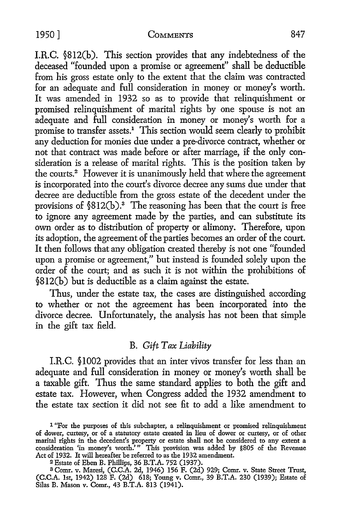#### 1950] COMMENTS 847

I.R.C. §812(b). This section provides that any indebtedness of the deceased "founded upon a promise or agreement'' shall be deductible from his gross estate only *to* the extent that the claim was contracted for an adequate and full consideration in money or money's worth. It was amended in 1932 so as *to* provide that relinquishment or promised relinquishment of marital rights by one spouse is not an adequate and full consideration in money or money's worth for a promise *to* transfer assets.1 This section would seem clearly *to* prohibit any deduction for monies due under a pre-divorce contract, whether or not that contract was made before or after marriage, if the only consideration is a release of marital rights. This is the position taken by the courts.2 However it is unanimously held that where the agreement is incorporated into the court's divorce decree any sums due under that decree are deductible from the gross estate of the decedent under the provisions of §812(b).<sup>3</sup> The reasoning has been that the court is free *to* ignore any agreement made by the parties, and can substitute its own order as to distribution of property or alimony. Therefore, upon its adoption, the agreement of the parties becomes an order of the court. It then follows that any obligation created thereby is not one "founded upon a promise or agreement," but instead is founded solely upon the order of the court; and as such it is not within the prohibitions of §812(b) but is deductible as a claim against the estate.

Thus, under the estate tax, the cases are distinguished according *to* whether or not the agreement has been incorporated into the divorce decree. Unfortunately, the analysis has not been that simple in the gift tax field.

# **B.** Gift Tax Liability

LR. C. § 1002 provides that an inter vivos transfer for less than an adequate and full consideration in money or money's worth shall be a taxable gift. Thus the same standard applies to both the gift and estate tax. However, when Congress added the 1932 amendment to the estate tax section it did not see fit to add a like amendment to

<sup>1 &</sup>quot;For the purposes of this subchapter, a relinquishment or promised relinquishment of dower, curtesy, or of a statutory estate created in lieu of dower or curtesy, or of other marital rights in the decedent's property or estate shall not be considered to any extent a consideration 'in money's worth.'" This provision was added by §805 of the Revenue Act of 1932. It will hereafter be referred to as the 1932 amendment.

<sup>2</sup>Estate of Eben B. Phillips, 36 B.T.A. 752 (1937).

<sup>3</sup>Comr. v. Maresi, (C.C.A. 2d, 1946) 156 F. (2d) 929; Comr. v. State Street Trust, (C.C.A. 1st, 1942) 128 F. (2d) 618; Young v. Comr., 39 B.T.A. 230 (1939); Estate of Silas B. Mason v. Comr., 43 B.T.A. 813 (1941).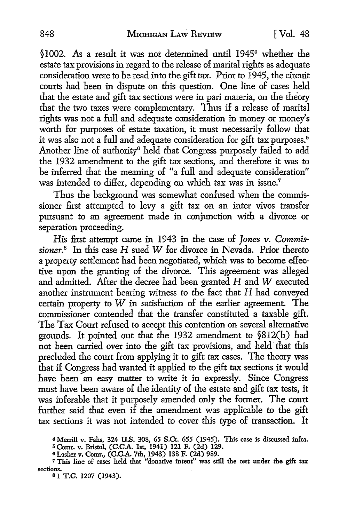§1002. As a result it was not determined until 19454 whether the estate tax provisions in regard to the release of marital rights as adequate consideration were to be read into the gift tax. Prior to 1945, the circuit courts had been in dispute on this question. One line of cases held that the estate and gift tax sections were in pari materia, on the theory that the two taxes were complementary. Thus if a release of marital rights was not a full and adequate consideration in money or money's worth for purposes of estate taxation, it must necessarily follow that it was also not a full and adequate consideration for gift tax purposes.<sup>5</sup> Another line of authority<sup>6</sup> held that Congress purposely failed to add the 1932 amendment to the gift tax sections, and therefore it was to be inferred that the meaning of "a full and adequate consideration" was intended to differ, depending on which tax was in issue.<sup>7</sup>

Thus the background was somewhat confused when the commissioner first attempted to levy a gift tax on an inter vivos transfer pursuant to an agreement made in conjunction with a divorce or separation proceeding.

His first attempt came in 1943 in the case of *Jones v*. *Commissioner.8* In this case H sued W for divorce in Nevada. Prior thereto a property settlement had been negotiated, which was to become effective upon the granting of the divorce. This agreement was alleged and admitted. After the decree had been granted H and W executed another instrument bearing witness to the fact that H had conveyed certain property to  $W$  in satisfaction of the earlier agreement. The commissioner contended that the transfer constituted a taxable gift. The Tax Court refused to accept this contention on several alternative grounds. It pointed out that the 1932 amendment to §812(b) had not been carried over into the gift tax provisions, and held that this precluded the court from applying it to gift tax cases. The theory was that if Congress had wanted it applied to the gift tax sections it would have been an easy matter to write it in expressly. Since Congress must have been aware of the identity of the estate and gift tax tests, it was inferable that it purposely amended only the former. The court further said that *even* if the amendment was applicable to the gift tax sections it was not intended to cover this type of transaction. It

<sup>4</sup>Merrill v. Fahs, 324 **U.S.** 308, 65 **S.Ct.** 655 (1945). This case is discussed infra.

i; Comr. v. Bristol, (C.C.A. 1st, 1941) 121 F. (2d) 129.

<sup>6</sup> Lasker v. Comr., (C.C.A. 7th, 1943) 138 F. (2d) 989.

<sup>7</sup>This line of cases held that "donative intent" was still the test under the gift tax sections.<br>8 1 T.C. 1207 (1943).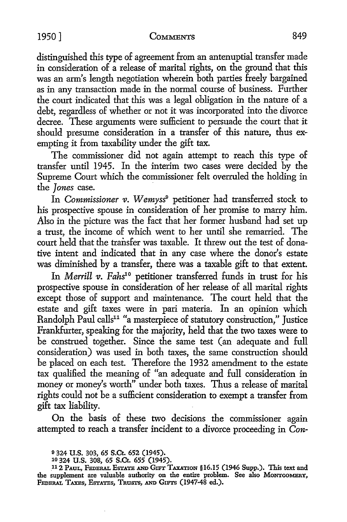distinguished this type of agreement from an antenuptial transfer made in consideration of a release of marital rights, on the ground that this was an arm's length negotiation wherein both parties freely bargained as in any transaction made in the normal course of business. Further the court indicated that this was a legal obligation in the nature of a debt, regardless of whether or not it was incorporated into the divorce decree. These arguments were sufficient to persuade the court that it should presume consideration in a transfer of this nature, thus exempting it from taxability under the gift tax.

The commissioner did not again attempt to reach this type of transfer until 1945. In the interim two cases were decided by the Supreme Court which the commissioner felt overruled the holding in the *Jones* case.

In *Commissioner v. Wemyss<sup>9</sup>* petitioner had transferred stock to his prospective spouse in consideration of her promise to marry him. Also in the picture was the fact that her former husband had set up a trust, the income of which went to her until she remarried. The court held that the transfer was taxable. It threw out the test of donative intent and indicated that in any case where the donor's estate was diminished by a transfer, there was a taxable gift to that extent.

In *Merrill v. Fahs1°* petitioner transferred funds in trust for his prospective spouse in consideration of her release of all marital rights except those of support and maintenance. The court held that the estate and gift taxes were in pari materia. In an opinion which Randolph Paul calls<sup>11</sup> "a masterpiece of statutory construction," Justice Frankfurter, speaking for the majority, held that the two taxes were to be construed together. Since the same test (an adequate and full consideration) was used in both taxes, the same construction should be placed on each test. Therefore the 1932 amendment to the estate tax qualified the meaning of "an adequate and full consideration in money or money's worth" under both taxes. Thus a release of marital rights could not be a sufficient consideration to exempt a transfer from gift tax liability.

On the basis of these two decisions the commissioner again attempted to reach a transfer incident to a divorce proceeding in *Con-*

<sup>9</sup>324 **U.S.** 303, 65 S.Ct. 652 (1945).

<sup>10 324</sup> U.S. 308, 65 S.Ct. 655 (1945) .

<sup>.112</sup> PAUL, FEDERAL EsTATE AND GIFT TAXATION §16.15 (1946 Supp.). This text and the supplement are valuable authority on the entire problem. See also MONTGOMERY, FEDERAL TAXES, ESTATES, TRUSTS, AND GIFTS (1947-48 ed.).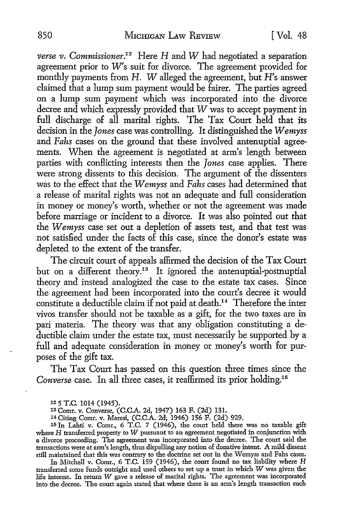*verse v. Commissioner.12* Here Hand *W* had negotiated a separation agreement prior to *W's* suit for divorce. The agreement provided for monthly payments from H. W alleged the agreement, but H's answer claimed that a lump sum payment would be fairer. The parties agreed on a lump sum payment which was incorporated into the divorce decree and which expressly provided that  $\tilde{W}$  was to accept payment in full discharge of all marital rights. The Tax Court held that its decision in the *Jones* case was controlling. It distinguished the *Wemyss*  and *Fahs* cases on the ground that these involved antenuptial agreements. When the agreement is negotiated at arm's length between parties with conflicting interests then the *Jones* case applies. There were strong dissents to this decision. The argument of the dissenters was to the effect that the *Wemyss* and *Fahs* cases had determined that a release of marital rights was not an adequate and full consideration in money or money's worth, whether or not the agreement was made before marriage or incident to a divorce. It was also pointed out that the *W emyss* case set out a depletion of assets test, and that test was not satisfied under the facts of this case, since the donor's estate was depleted to the extent of the transfer.

The circuit court of appeals affirmed the decision of the Tax Court but on a different theory.<sup>13</sup> It ignored the antenuptial-postnuptial theory and instead analogized the case to the estate tax cases. Since the agreement had been incorporated into the court's decree it would constitute a deductible claim if not paid at death.<sup>14</sup> Therefore the inter vivos transfer should not be taxable as a gift, for the two taxes are in pari materia. The theory was that any obligation constituting a deductible claim under the estate tax, must necessarily be supported by a full and adequate consideration in money or money's worth for purposes of the gift tax.

The Tax Court has passed on this question three times since the *Converse* case. In all three cases, it reaffirmed its prior holding.15

<sup>15</sup>In Lahti v. Comr., 6 T.C. 7 (1946), the court held there was no taxable gift where H transferred property to W pursuant to an agreement negotiated in conjunction with a divorce proceeding. The agreement was incorporated into the decree. The court said the transactions were at arm's length, thus dispelling any notion of donative intent. A mild dissent still maintained that this was contrary to the doctrine set out in the Wemyss and Fahs cases.

In Mitchell v. Comr., 6 T.C. 159 (1946), the court found no tax liability where H transferred some funds outright and used others to set up a trust in which W was given the life interest. In return W gave a release of marital rights. The agreement was incorporated into the decree. The court again stated that where there is an arm's length transaction such

<sup>12 5</sup> T.C. 1014 (1945).

<sup>13</sup> Comr. v. Converse, (C.C.A. 2d, 1947) 163 F. (2d) 131.

<sup>14</sup> Citing Comr. v. Maresi, (C.C.A. 2d; 1946) 156 F. (2d) 929.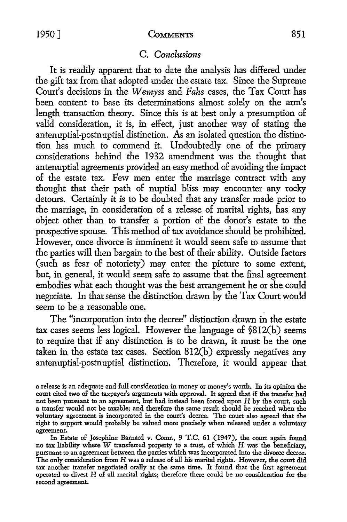1950] COMMENTS 851

# C. *Conclusions*

It is readily apparent that to date the analysis has differed under the gift tax from that adopted under the estate tax. Since the Supreme Court's decisions in the *Wemyss* and *Fahs* cases, the Tax Court has been content to base its determinations almost solely on the arm's length transaction theory. Since this is at best only a presumption of valid consideration, it is, in effect, just another way of stating the antenuptial-postnuptial distinction. As an isolated question the distinction has much to commend it. Undoubtedly one of the primary considerations behind the 1932 amendment was the thought that antenuptial agreements provided an easy method of avoiding the impact of the estate tax. Few men enter the marriage contract with any thought that their path of nuptial bliss may encounter any rocky detours. Certainly it is to be doubted that any transfer made prior to the marriage, in consideration of a release of marital rights, has any object other than to transfer a portion of the donor's estate *to* the prospective spouse. This method of tax avoidance should be prohibited. However, once divorce is imminent it would seem safe *to* assume that the parties will then bargain to the best of their ability. Outside factors (such as fear of notoriety) may enter the picture to some extent, but, in general, it would seem safe to assume that the final agreement embodies what each thought was the best arrangement he or she could negotiate. In that sense the distinction drawn by the Tax Court would seem to be a reasonable one.

The "incorporation into the decree" distinction drawn in the estate tax cases seems less logical. However the language of §812(b) seems to require that if any distinction is to be drawn, it must be the one taken in the estate tax cases. Section 812(b) expressly negatives any antenuptial-postnuptial distinction. Therefore, it would appear that

In Estate of Josephine Barnard v. Comr., 9 T.C. 61 (1947), the court again found no tax liability where  $W$  transferred property to a trust, of which  $H$  was the beneficiary, pursuant to an agreement between the parties which was incorporated into the divorce decree. The only consideration from H was a release of all his marital rights. However, the court did tax another transfer negotiated orally at the same time. It found that the first agreement operated to divest H of all marital rights; therefore there could be no consideration for the second agreement.

a release is an adequate and full consideration in money or money's worth. In its opinion the court cited two of the taxpayer's arguments with approval. It agreed that if the transfer had not been pursuant to an agreement, but had instead been forced upon H by the court, such a transfer would not be taxable; and therefore the same result should be reached when the voluntary agreement is incorporated in the court's decree. The court also agreed that the right to support would probably be valued more precisely when released under a voluntary agreement.